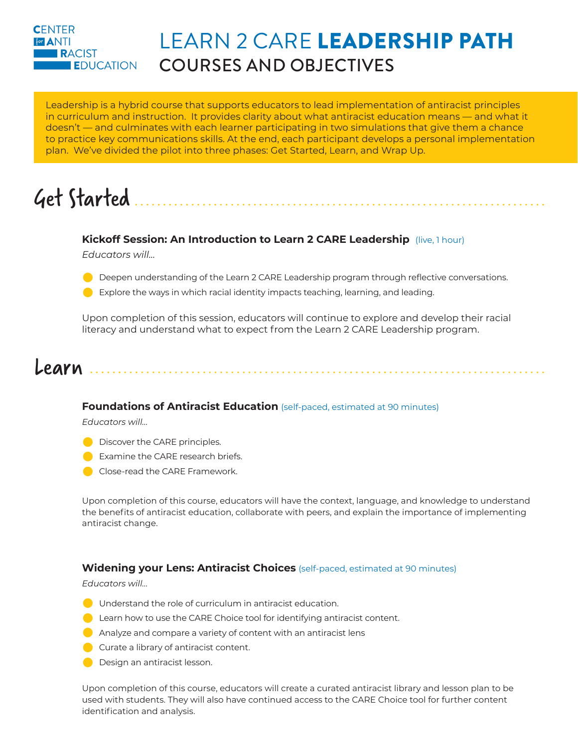### **CENTER For ANTI RACIST EDUCATION**

### LEARN 2 CARE LEADERSHIP PATH COURSES AND OBJECTIVES

Leadership is a hybrid course that supports educators to lead implementation of antiracist principles in curriculum and instruction. It provides clarity about what antiracist education means — and what it doesn't — and culminates with each learner participating in two simulations that give them a chance to practice key communications skills. At the end, each participant develops a personal implementation plan. We've divided the pilot into three phases: Get Started, Learn, and Wrap Up.

# Get Started

### **Kickoff Session: An Introduction to Learn 2 CARE Leadership** (live, 1 hour)

*Educators will…*

- **C** Deepen understanding of the Learn 2 CARE Leadership program through reflective conversations.
- $\bullet$  Explore the ways in which racial identity impacts teaching, learning, and leading.

Upon completion of this session, educators will continue to explore and develop their racial literacy and understand what to expect from the Learn 2 CARE Leadership program.

### Learn

### **Foundations of Antiracist Education** (self-paced, estimated at 90 minutes)

*Educators will…*

- **Discover the CARE principles.**
- $\blacksquare$  Examine the CARE research briefs.
- Close-read the CARE Framework.

Upon completion of this course, educators will have the context, language, and knowledge to understand the benefits of antiracist education, collaborate with peers, and explain the importance of implementing antiracist change.

### **Widening your Lens: Antiracist Choices** (self-paced, estimated at 90 minutes)

*Educators will…*

- $\bigcirc$  Understand the role of curriculum in antiracist education.
- $\bullet$  Learn how to use the CARE Choice tool for identifying antiracist content.
- $\bigcirc$  Analyze and compare a variety of content with an antiracist lens
- $\bigcirc$  Curate a library of antiracist content.
- **O** Design an antiracist lesson.

Upon completion of this course, educators will create a curated antiracist library and lesson plan to be used with students. They will also have continued access to the CARE Choice tool for further content identification and analysis.